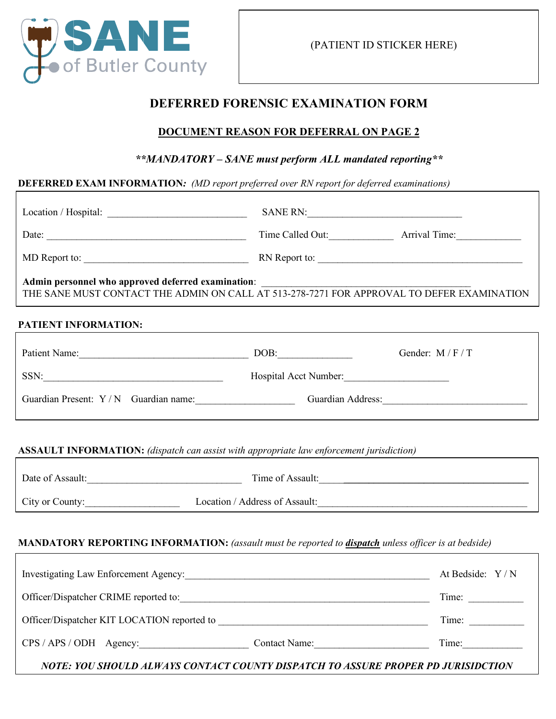

### **DEFERRED FORENSIC EXAMINATION FORM**

#### **DOCUMENT REASON FOR DEFERRAL ON PAGE 2**

#### *\*\*MANDATORY – SANE must perform ALL mandated reporting\*\**

#### **DEFERRED EXAM INFORMATION***: (MD report preferred over RN report for deferred examinations)*

|                                                                                                                                                                                                                                                                                                                                                                                                               | SANE RN:                                       |                                |
|---------------------------------------------------------------------------------------------------------------------------------------------------------------------------------------------------------------------------------------------------------------------------------------------------------------------------------------------------------------------------------------------------------------|------------------------------------------------|--------------------------------|
| Date: $\frac{1}{\sqrt{1-\frac{1}{2}}\sqrt{1-\frac{1}{2}}\sqrt{1-\frac{1}{2}}\sqrt{1-\frac{1}{2}}\sqrt{1-\frac{1}{2}}\sqrt{1-\frac{1}{2}}\sqrt{1-\frac{1}{2}}\sqrt{1-\frac{1}{2}}\sqrt{1-\frac{1}{2}}\sqrt{1-\frac{1}{2}}\sqrt{1-\frac{1}{2}}\sqrt{1-\frac{1}{2}}\sqrt{1-\frac{1}{2}}\sqrt{1-\frac{1}{2}}\sqrt{1-\frac{1}{2}}\sqrt{1-\frac{1}{2}}\sqrt{1-\frac{1}{2}}\sqrt{1-\frac{1}{2}}\sqrt{1-\frac{1}{2}}$ |                                                | Time Called Out: Arrival Time: |
|                                                                                                                                                                                                                                                                                                                                                                                                               |                                                | RN Report to:                  |
| Admin personnel who approved deferred examination:<br>THE SANE MUST CONTACT THE ADMIN ON CALL AT 513-278-7271 FOR APPROVAL TO DEFER EXAMINATION                                                                                                                                                                                                                                                               |                                                |                                |
| PATIENT INFORMATION:                                                                                                                                                                                                                                                                                                                                                                                          |                                                |                                |
| Patient Name: DOB:                                                                                                                                                                                                                                                                                                                                                                                            |                                                | Gender: $M / F / T$            |
|                                                                                                                                                                                                                                                                                                                                                                                                               |                                                |                                |
| Guardian Present: Y / N Guardian name: Guardian Address: Guardian Address:                                                                                                                                                                                                                                                                                                                                    |                                                |                                |
| <b>ASSAULT INFORMATION:</b> (dispatch can assist with appropriate law enforcement jurisdiction)                                                                                                                                                                                                                                                                                                               |                                                |                                |
|                                                                                                                                                                                                                                                                                                                                                                                                               |                                                |                                |
|                                                                                                                                                                                                                                                                                                                                                                                                               | City or County: Location / Address of Assault: |                                |
| <b>MANDATORY REPORTING INFORMATION:</b> (assault must be reported to <i>dispatch unless officer is at bedside</i> )                                                                                                                                                                                                                                                                                           |                                                |                                |
|                                                                                                                                                                                                                                                                                                                                                                                                               |                                                | At Bedside: Y/N                |
|                                                                                                                                                                                                                                                                                                                                                                                                               |                                                | Time:                          |
| Officer/Dispatcher KIT LOCATION reported to                                                                                                                                                                                                                                                                                                                                                                   |                                                | Time:                          |

*NOTE: YOU SHOULD ALWAYS CONTACT COUNTY DISPATCH TO ASSURE PROPER PD JURISIDCTION*

CPS / APS / ODH Agency: Contact Name: Time: